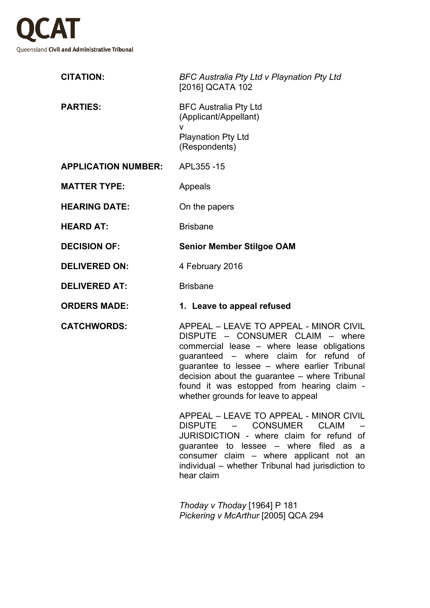

| <b>CITATION:</b>           | <b>BFC Australia Pty Ltd v Playnation Pty Ltd</b><br>[2016] QCATA 102                                                                                                                                                                                                                                                                                    |
|----------------------------|----------------------------------------------------------------------------------------------------------------------------------------------------------------------------------------------------------------------------------------------------------------------------------------------------------------------------------------------------------|
| <b>PARTIES:</b>            | <b>BFC Australia Pty Ltd</b><br>(Applicant/Appellant)<br>v<br><b>Playnation Pty Ltd</b><br>(Respondents)                                                                                                                                                                                                                                                 |
| <b>APPLICATION NUMBER:</b> | APL355-15                                                                                                                                                                                                                                                                                                                                                |
| <b>MATTER TYPE:</b>        | Appeals                                                                                                                                                                                                                                                                                                                                                  |
| <b>HEARING DATE:</b>       | On the papers                                                                                                                                                                                                                                                                                                                                            |
| <b>HEARD AT:</b>           | <b>Brisbane</b>                                                                                                                                                                                                                                                                                                                                          |
| <b>DECISION OF:</b>        | <b>Senior Member Stilgoe OAM</b>                                                                                                                                                                                                                                                                                                                         |
| <b>DELIVERED ON:</b>       | 4 February 2016                                                                                                                                                                                                                                                                                                                                          |
| <b>DELIVERED AT:</b>       | <b>Brisbane</b>                                                                                                                                                                                                                                                                                                                                          |
| <b>ORDERS MADE:</b>        | 1. Leave to appeal refused                                                                                                                                                                                                                                                                                                                               |
| <b>CATCHWORDS:</b>         | APPEAL - LEAVE TO APPEAL - MINOR CIVIL<br>DISPUTE - CONSUMER CLAIM - where<br>commercial lease - where lease obligations<br>guaranteed - where claim for refund of<br>guarantee to lessee – where earlier Tribunal<br>decision about the guarantee – where Tribunal<br>found it was estopped from hearing claim -<br>whether grounds for leave to appeal |
|                            | APPEAL - LEAVE TO APPEAL - MINOR CIVIL<br>DISPUTE - CONSUMER CLAIM<br>JURISDICTION - where claim for refund of<br>guarantee to lessee – where filed as a<br>consumer claim - where applicant not an<br>individual - whether Tribunal had jurisdiction to<br>hear claim                                                                                   |
|                            |                                                                                                                                                                                                                                                                                                                                                          |

*Thoday v Thoday* [1964] P 181 *Pickering v McArthur* [2005] QCA 294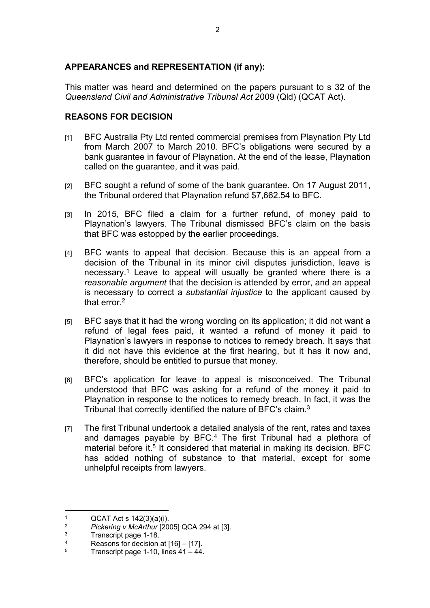## **APPEARANCES and REPRESENTATION (if any):**

This matter was heard and determined on the papers pursuant to s 32 of the *Queensland Civil and Administrative Tribunal Act* 2009 (Qld) (QCAT Act).

## **REASONS FOR DECISION**

- [1] BFC Australia Pty Ltd rented commercial premises from Playnation Pty Ltd from March 2007 to March 2010. BFC's obligations were secured by a bank guarantee in favour of Playnation. At the end of the lease, Playnation called on the guarantee, and it was paid.
- [2] BFC sought a refund of some of the bank guarantee. On 17 August 2011, the Tribunal ordered that Playnation refund \$7,662.54 to BFC.
- [3] In 2015, BFC filed a claim for a further refund, of money paid to Playnation's lawyers. The Tribunal dismissed BFC's claim on the basis that BFC was estopped by the earlier proceedings.
- [4] BFC wants to appeal that decision. Because this is an appeal from a decision of the Tribunal in its minor civil disputes jurisdiction, leave is necessary.<sup>1</sup> Leave to appeal will usually be granted where there is a *reasonable argument* that the decision is attended by error, and an appeal is necessary to correct a *substantial injustice* to the applicant caused by that error  $2$
- [5] BFC says that it had the wrong wording on its application; it did not want a refund of legal fees paid, it wanted a refund of money it paid to Playnation's lawyers in response to notices to remedy breach. It says that it did not have this evidence at the first hearing, but it has it now and, therefore, should be entitled to pursue that money.
- [6] BFC's application for leave to appeal is misconceived. The Tribunal understood that BFC was asking for a refund of the money it paid to Playnation in response to the notices to remedy breach. In fact, it was the Tribunal that correctly identified the nature of BFC's claim.<sup>3</sup>
- [7] The first Tribunal undertook a detailed analysis of the rent, rates and taxes and damages payable by BFC.<sup>4</sup> The first Tribunal had a plethora of material before it.<sup>5</sup> It considered that material in making its decision. BFC has added nothing of substance to that material, except for some unhelpful receipts from lawyers.

<sup>1</sup>  $QCAT$  Act s  $142(3)(a)(i)$ .<br>  $QCAT$  Act s  $142(3)(a)(i)$ .

<sup>2</sup> *Pickering v McArthur* [2005] QCA 294 at [3].

<sup>3</sup> Transcript page 1-18.

<sup>4</sup> Reasons for decision at [16] – [17].

<sup>5</sup> Transcript page 1-10, lines 41 – 44.